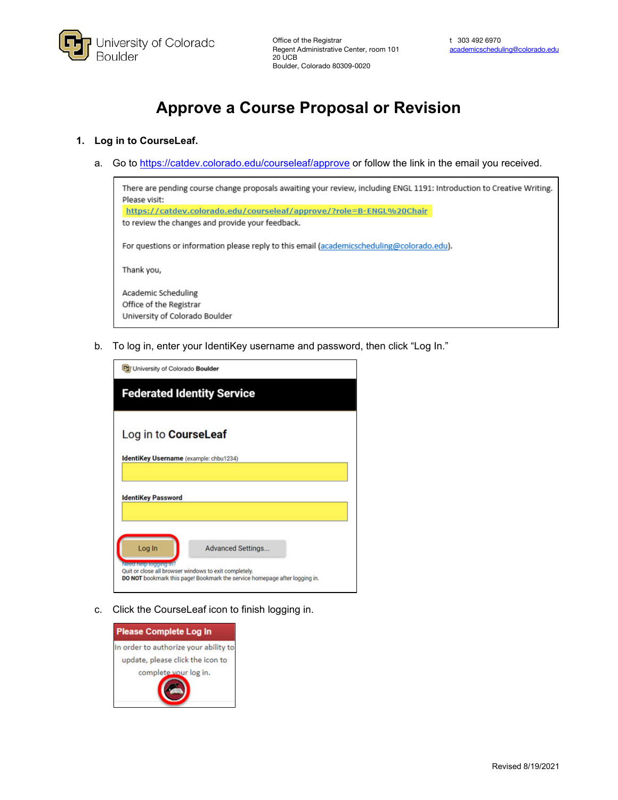

# **Approve a Course Proposal or Revision**

# **1. Log in to CourseLeaf.**

a. Go to<https://catdev.colorado.edu/courseleaf/approve> or follow the link in the email you received.



b. To log in, enter your IdentiKey username and password, then click "Log In."

| <b>Advanced Settings.</b>                                                  |
|----------------------------------------------------------------------------|
| DO NOT bookmark this page! Bookmark the service homepage after logging in. |

c. Click the CourseLeaf icon to finish logging in.

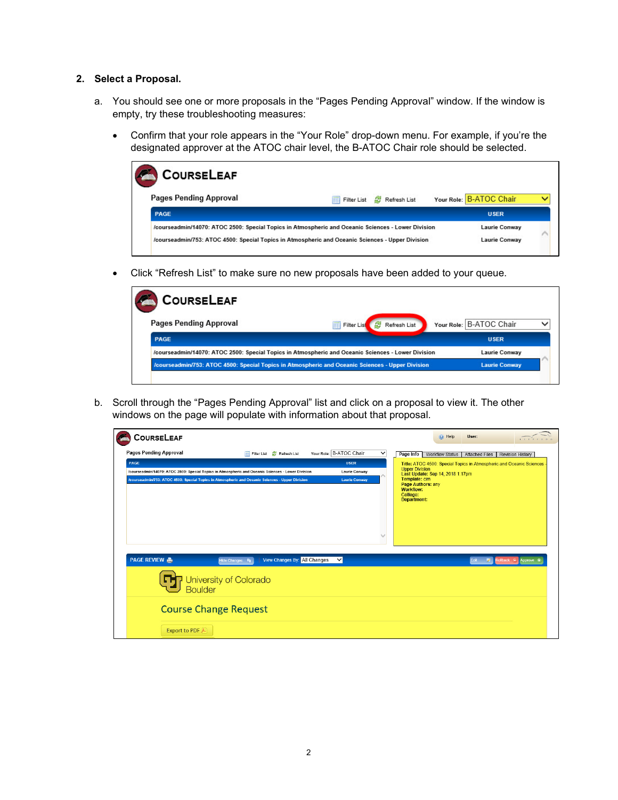# **2. Select a Proposal.**

- a. You should see one or more proposals in the "Pages Pending Approval" window. If the window is empty, try these troubleshooting measures:
	- Confirm that your role appears in the "Your Role" drop-down menu. For example, if you're the designated approver at the ATOC chair level, the B-ATOC Chair role should be selected.

| COURSELEAF                    |                                                                                                    |                         |
|-------------------------------|----------------------------------------------------------------------------------------------------|-------------------------|
| <b>Pages Pending Approval</b> | Refresh List<br>Filter List<br>属                                                                   | Your Role: B-ATOC Chair |
| PAGE                          |                                                                                                    | <b>USER</b>             |
|                               | /courseadmin/14070: ATOC 2500: Special Topics in Atmospheric and Oceanic Sciences - Lower Division | Laurie Conway           |
|                               | /courseadmin/753: ATOC 4500: Special Topics in Atmospheric and Oceanic Sciences - Upper Division   | <b>Laurie Conway</b>    |

• Click "Refresh List" to make sure no new proposals have been added to your queue.

| <b>COURSELEAF</b>             |                                                                                                    |                         |
|-------------------------------|----------------------------------------------------------------------------------------------------|-------------------------|
| <b>Pages Pending Approval</b> | Filter List<br>Refresh List<br>æ                                                                   | Your Role: B-ATOC Chair |
| PAGE                          |                                                                                                    | <b>USER</b>             |
|                               | /courseadmin/14070: ATOC 2500: Special Topics in Atmospheric and Oceanic Sciences - Lower Division | Laurie Conway           |
|                               | /courseadmin/753: ATOC 4500: Special Topics in Atmospheric and Oceanic Sciences - Upper Division   | <b>Laurie Conway</b>    |

b. Scroll through the "Pages Pending Approval" list and click on a proposal to view it. The other windows on the page will populate with information about that proposal.

| COURSELEAF                                                                                         |                                               |                                                                                   | O Help<br>User:                                                        |                  |
|----------------------------------------------------------------------------------------------------|-----------------------------------------------|-----------------------------------------------------------------------------------|------------------------------------------------------------------------|------------------|
| <b>Pages Pending Approval</b><br>Filter List                                                       | Your Role: B-ATOC Chair<br>Refresh List       | $\checkmark$<br>Page Info Workflow Status                                         | <b>Attached Files</b>                                                  | Revision History |
| PAGE                                                                                               | <b>USER</b>                                   |                                                                                   | Title: ATOC 4500: Special Topics in Atmospheric and Oceanic Sciences - |                  |
| /courseadmin/14070: ATOC 2500: Special Topics in Atmospheric and Oceanic Sciences - Lower Division | <b>Laurie Conway</b>                          | <b>Upper Division</b>                                                             | Last Update: Sep 14, 2018 1:17pm                                       |                  |
| /courseadmin/753: ATOC 4500: Special Topics in Atmospheric and Oceanic Sciences - Upper Division   | <b>Laurie Conway</b>                          | Template: cim<br>Page Authors: any<br><b>Workflow:</b><br>College:<br>Department: |                                                                        |                  |
| <b>PAGE REVIEW A</b><br><b>Hide Changes</b>                                                        | <b>View Changes By: All Changes</b><br>$\vee$ |                                                                                   | Edit<br>×                                                              |                  |
| University of Colorado<br>5.<br><b>Boulder</b>                                                     |                                               |                                                                                   |                                                                        |                  |
| <b>Course Change Request</b>                                                                       |                                               |                                                                                   |                                                                        |                  |
| Export to PDF                                                                                      |                                               |                                                                                   |                                                                        |                  |